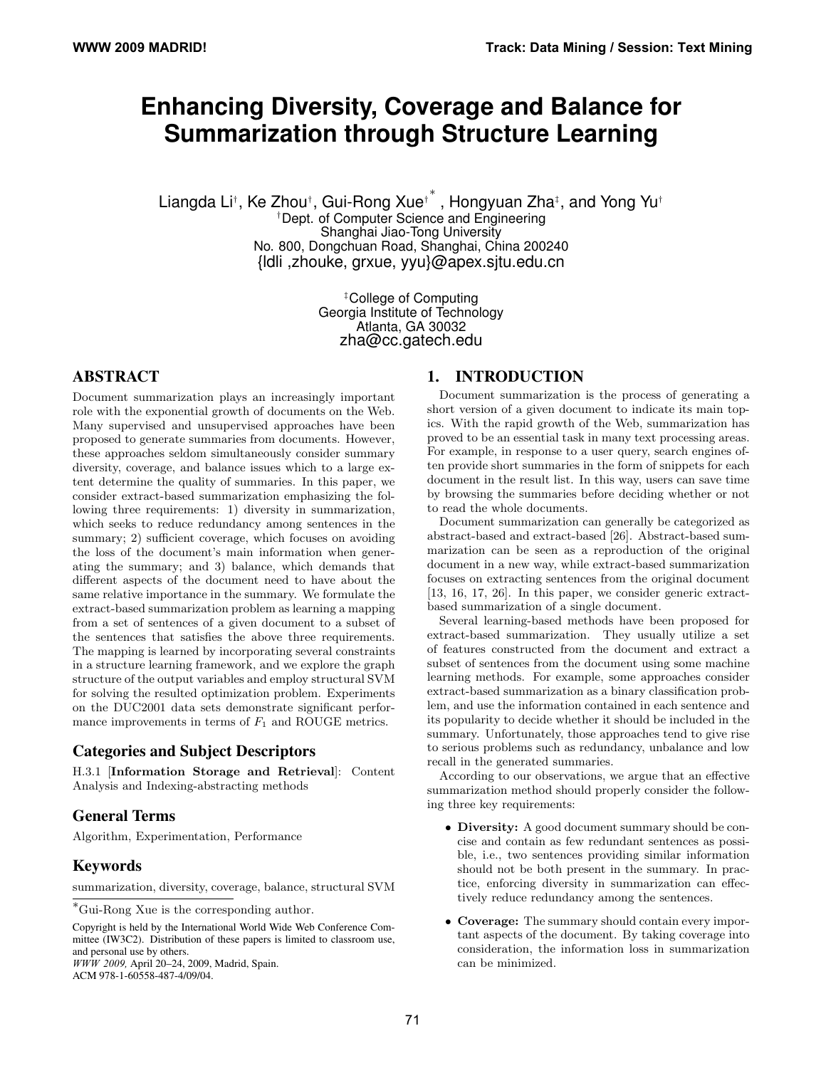# **Enhancing Diversity, Coverage and Balance for Summarization through Structure Learning**

Liangda Li†, Ke Zhou†, Gui-Rong Xue $^*$  , Hongyuan Zha‡, and Yong Yu† †Dept. of Computer Science and Engineering Shanghai Jiao-Tong University No. 800, Dongchuan Road, Shanghai, China 200240 {ldli ,zhouke, grxue, yyu}@apex.sjtu.edu.cn

> ‡College of Computing Georgia Institute of Technology Atlanta, GA 30032 zha@cc.gatech.edu

# **ABSTRACT**

Document summarization plays an increasingly important role with the exponential growth of documents on the Web. Many supervised and unsupervised approaches have been proposed to generate summaries from documents. However, these approaches seldom simultaneously consider summary diversity, coverage, and balance issues which to a large extent determine the quality of summaries. In this paper, we consider extract-based summarization emphasizing the following three requirements: 1) diversity in summarization, which seeks to reduce redundancy among sentences in the summary; 2) sufficient coverage, which focuses on avoiding the loss of the document's main information when generating the summary; and 3) balance, which demands that different aspects of the document need to have about the same relative importance in the summary. We formulate the extract-based summarization problem as learning a mapping from a set of sentences of a given document to a subset of the sentences that satisfies the above three requirements. The mapping is learned by incorporating several constraints in a structure learning framework, and we explore the graph structure of the output variables and employ structural SVM for solving the resulted optimization problem. Experiments on the DUC2001 data sets demonstrate significant performance improvements in terms of  $F_1$  and ROUGE metrics.

# **Categories and Subject Descriptors**

H.3.1 [Information Storage and Retrieval]: Content Analysis and Indexing-abstracting methods

# **General Terms**

Algorithm, Experimentation, Performance

# **Keywords**

summarization, diversity, coverage, balance, structural SVM

*WWW 2009,* April 20–24, 2009, Madrid, Spain. ACM 978-1-60558-487-4/09/04.

# **1. INTRODUCTION**

Document summarization is the process of generating a short version of a given document to indicate its main topics. With the rapid growth of the Web, summarization has proved to be an essential task in many text processing areas. For example, in response to a user query, search engines often provide short summaries in the form of snippets for each document in the result list. In this way, users can save time by browsing the summaries before deciding whether or not to read the whole documents.

Document summarization can generally be categorized as abstract-based and extract-based [26]. Abstract-based summarization can be seen as a reproduction of the original document in a new way, while extract-based summarization focuses on extracting sentences from the original document [13, 16, 17, 26]. In this paper, we consider generic extractbased summarization of a single document.

Several learning-based methods have been proposed for extract-based summarization. They usually utilize a set of features constructed from the document and extract a subset of sentences from the document using some machine learning methods. For example, some approaches consider extract-based summarization as a binary classification problem, and use the information contained in each sentence and its popularity to decide whether it should be included in the summary. Unfortunately, those approaches tend to give rise to serious problems such as redundancy, unbalance and low recall in the generated summaries.

According to our observations, we argue that an effective summarization method should properly consider the following three key requirements:

- **Diversity:** A good document summary should be concise and contain as few redundant sentences as possible, i.e., two sentences providing similar information should not be both present in the summary. In practice, enforcing diversity in summarization can effectively reduce redundancy among the sentences.
- Coverage: The summary should contain every important aspects of the document. By taking coverage into consideration, the information loss in summarization can be minimized.

<sup>∗</sup>Gui-Rong Xue is the corresponding author.

Copyright is held by the International World Wide Web Conference Committee (IW3C2). Distribution of these papers is limited to classroom use, and personal use by others.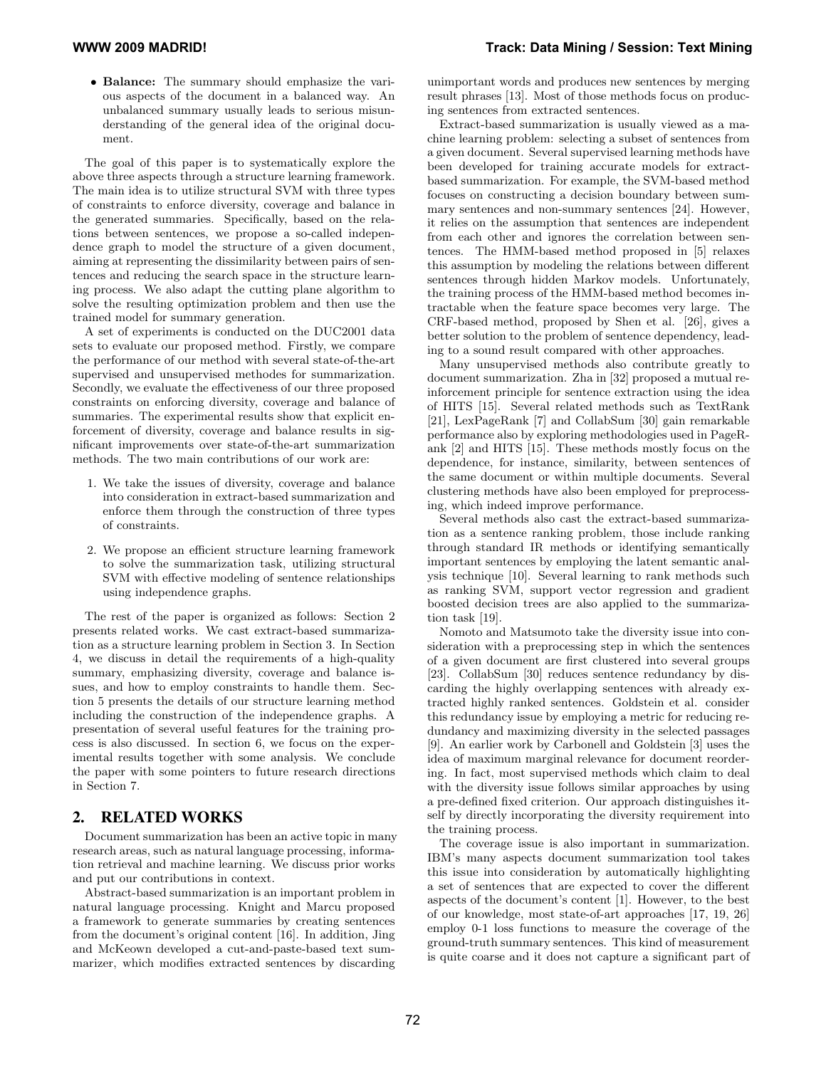• Balance: The summary should emphasize the various aspects of the document in a balanced way. An unbalanced summary usually leads to serious misunderstanding of the general idea of the original document.

The goal of this paper is to systematically explore the above three aspects through a structure learning framework. The main idea is to utilize structural SVM with three types of constraints to enforce diversity, coverage and balance in the generated summaries. Specifically, based on the relations between sentences, we propose a so-called independence graph to model the structure of a given document, aiming at representing the dissimilarity between pairs of sentences and reducing the search space in the structure learning process. We also adapt the cutting plane algorithm to solve the resulting optimization problem and then use the trained model for summary generation.

A set of experiments is conducted on the DUC2001 data sets to evaluate our proposed method. Firstly, we compare the performance of our method with several state-of-the-art supervised and unsupervised methodes for summarization. Secondly, we evaluate the effectiveness of our three proposed constraints on enforcing diversity, coverage and balance of summaries. The experimental results show that explicit enforcement of diversity, coverage and balance results in significant improvements over state-of-the-art summarization methods. The two main contributions of our work are:

- 1. We take the issues of diversity, coverage and balance into consideration in extract-based summarization and enforce them through the construction of three types of constraints.
- 2. We propose an efficient structure learning framework to solve the summarization task, utilizing structural SVM with effective modeling of sentence relationships using independence graphs.

The rest of the paper is organized as follows: Section 2 presents related works. We cast extract-based summarization as a structure learning problem in Section 3. In Section 4, we discuss in detail the requirements of a high-quality summary, emphasizing diversity, coverage and balance issues, and how to employ constraints to handle them. Section 5 presents the details of our structure learning method including the construction of the independence graphs. A presentation of several useful features for the training process is also discussed. In section 6, we focus on the experimental results together with some analysis. We conclude the paper with some pointers to future research directions in Section 7.

# **2. RELATED WORKS**

Document summarization has been an active topic in many research areas, such as natural language processing, information retrieval and machine learning. We discuss prior works and put our contributions in context.

Abstract-based summarization is an important problem in natural language processing. Knight and Marcu proposed a framework to generate summaries by creating sentences from the document's original content [16]. In addition, Jing and McKeown developed a cut-and-paste-based text summarizer, which modifies extracted sentences by discarding unimportant words and produces new sentences by merging result phrases [13]. Most of those methods focus on producing sentences from extracted sentences.

Extract-based summarization is usually viewed as a machine learning problem: selecting a subset of sentences from a given document. Several supervised learning methods have been developed for training accurate models for extractbased summarization. For example, the SVM-based method focuses on constructing a decision boundary between summary sentences and non-summary sentences [24]. However, it relies on the assumption that sentences are independent from each other and ignores the correlation between sentences. The HMM-based method proposed in [5] relaxes this assumption by modeling the relations between different sentences through hidden Markov models. Unfortunately, the training process of the HMM-based method becomes intractable when the feature space becomes very large. The CRF-based method, proposed by Shen et al. [26], gives a better solution to the problem of sentence dependency, leading to a sound result compared with other approaches.

Many unsupervised methods also contribute greatly to document summarization. Zha in [32] proposed a mutual reinforcement principle for sentence extraction using the idea of HITS [15]. Several related methods such as TextRank [21], LexPageRank [7] and CollabSum [30] gain remarkable performance also by exploring methodologies used in PageRank [2] and HITS [15]. These methods mostly focus on the dependence, for instance, similarity, between sentences of the same document or within multiple documents. Several clustering methods have also been employed for preprocessing, which indeed improve performance.

Several methods also cast the extract-based summarization as a sentence ranking problem, those include ranking through standard IR methods or identifying semantically important sentences by employing the latent semantic analysis technique [10]. Several learning to rank methods such as ranking SVM, support vector regression and gradient boosted decision trees are also applied to the summarization task [19].

Nomoto and Matsumoto take the diversity issue into consideration with a preprocessing step in which the sentences of a given document are first clustered into several groups [23]. CollabSum [30] reduces sentence redundancy by discarding the highly overlapping sentences with already extracted highly ranked sentences. Goldstein et al. consider this redundancy issue by employing a metric for reducing redundancy and maximizing diversity in the selected passages [9]. An earlier work by Carbonell and Goldstein [3] uses the idea of maximum marginal relevance for document reordering. In fact, most supervised methods which claim to deal with the diversity issue follows similar approaches by using a pre-defined fixed criterion. Our approach distinguishes itself by directly incorporating the diversity requirement into the training process.

The coverage issue is also important in summarization. IBM's many aspects document summarization tool takes this issue into consideration by automatically highlighting a set of sentences that are expected to cover the different aspects of the document's content [1]. However, to the best of our knowledge, most state-of-art approaches [17, 19, 26] employ 0-1 loss functions to measure the coverage of the ground-truth summary sentences. This kind of measurement is quite coarse and it does not capture a significant part of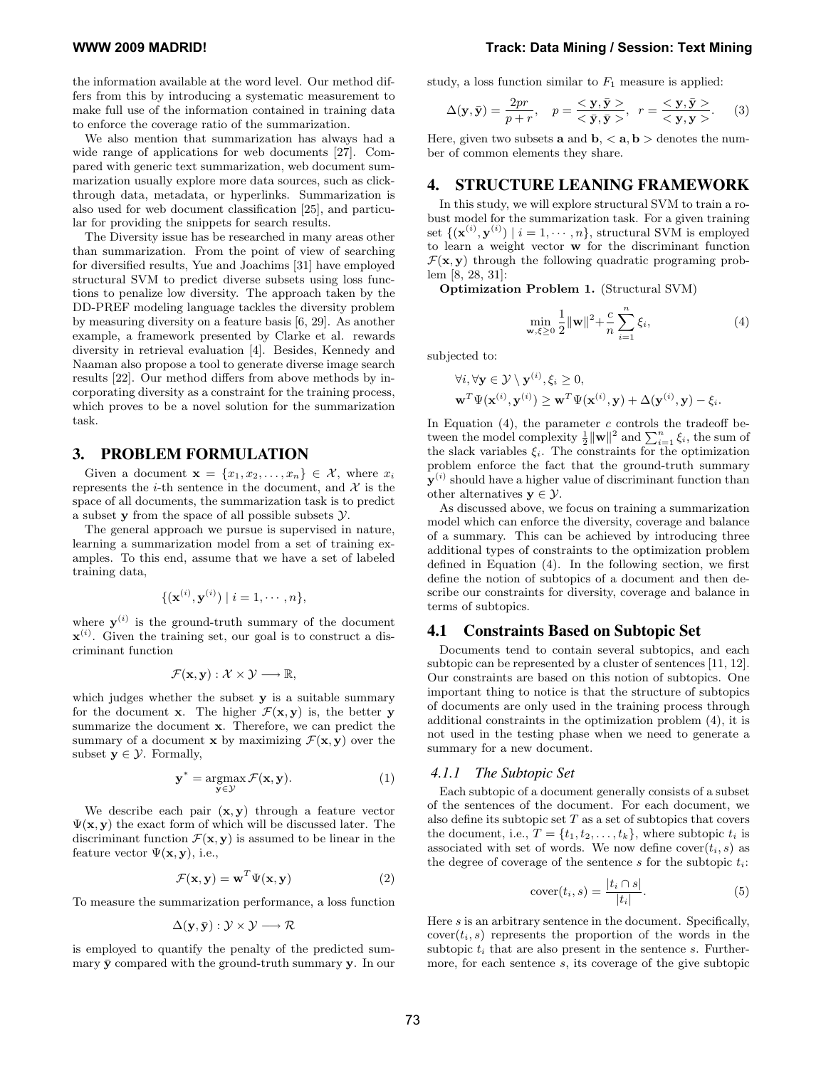**WWW 2009 MADRID! Track: Data Mining / Session: Text Mining**

the information available at the word level. Our method differs from this by introducing a systematic measurement to make full use of the information contained in training data to enforce the coverage ratio of the summarization.

We also mention that summarization has always had a wide range of applications for web documents [27]. Compared with generic text summarization, web document summarization usually explore more data sources, such as clickthrough data, metadata, or hyperlinks. Summarization is also used for web document classification [25], and particular for providing the snippets for search results.

The Diversity issue has be researched in many areas other than summarization. From the point of view of searching for diversified results, Yue and Joachims [31] have employed structural SVM to predict diverse subsets using loss functions to penalize low diversity. The approach taken by the DD-PREF modeling language tackles the diversity problem by measuring diversity on a feature basis [6, 29]. As another example, a framework presented by Clarke et al. rewards diversity in retrieval evaluation [4]. Besides, Kennedy and Naaman also propose a tool to generate diverse image search results [22]. Our method differs from above methods by incorporating diversity as a constraint for the training process, which proves to be a novel solution for the summarization task.

### **3. PROBLEM FORMULATION**

Given a document  $\mathbf{x} = \{x_1, x_2, \ldots, x_n\} \in \mathcal{X}$ , where  $x_i$ represents the *i*-th sentence in the document, and  $\mathcal{X}$  is the space of all documents, the summarization task is to predict a subset  $\bf{y}$  from the space of all possible subsets  $\mathcal{Y}$ .

The general approach we pursue is supervised in nature, learning a summarization model from a set of training examples. To this end, assume that we have a set of labeled training data,

$$
\{(\mathbf{x}^{(i)}, \mathbf{y}^{(i)}) \mid i = 1, \cdots, n\},\
$$

where  $y^{(i)}$  is the ground-truth summary of the document  $\mathbf{x}^{(i)}$ . Given the training set, our goal is to construct a discriminant function

$$
\mathcal{F}(\mathbf{x}, \mathbf{y}) : \mathcal{X} \times \mathcal{Y} \longrightarrow \mathbb{R},
$$

which judges whether the subset y is a suitable summary for the document **x**. The higher  $\mathcal{F}(\mathbf{x}, \mathbf{y})$  is, the better **y** summarize the document x. Therefore, we can predict the summary of a document **x** by maximizing  $\mathcal{F}(\mathbf{x}, \mathbf{y})$  over the subset  $y \in \mathcal{Y}$ . Formally,

$$
\mathbf{y}^* = \operatorname*{argmax}_{\mathbf{y} \in \mathcal{Y}} \mathcal{F}(\mathbf{x}, \mathbf{y}). \tag{1}
$$

We describe each pair  $(x, y)$  through a feature vector  $\Psi(\mathbf{x}, \mathbf{y})$  the exact form of which will be discussed later. The discriminant function  $\mathcal{F}(\mathbf{x}, \mathbf{y})$  is assumed to be linear in the feature vector  $\Psi(\mathbf{x}, \mathbf{y})$ , i.e.,

$$
\mathcal{F}(\mathbf{x}, \mathbf{y}) = \mathbf{w}^T \Psi(\mathbf{x}, \mathbf{y})
$$
 (2)

To measure the summarization performance, a loss function

$$
\Delta(\mathbf{y}, \bar{\mathbf{y}}): \mathcal{Y} \times \mathcal{Y} \longrightarrow \mathcal{R}
$$

is employed to quantify the penalty of the predicted summary  $\bar{y}$  compared with the ground-truth summary  $y$ . In our

study, a loss function similar to  $F_1$  measure is applied:

$$
\Delta(\mathbf{y}, \bar{\mathbf{y}}) = \frac{2pr}{p+r}, \quad p = \frac{\langle \mathbf{y}, \bar{\mathbf{y}} \rangle}{\langle \bar{\mathbf{y}}, \bar{\mathbf{y}} \rangle}, \quad r = \frac{\langle \mathbf{y}, \bar{\mathbf{y}} \rangle}{\langle \mathbf{y}, \mathbf{y} \rangle}.
$$
 (3)

Here, given two subsets **a** and **b**,  $\langle$  **a**, **b**  $\rangle$  denotes the number of common elements they share.

# **4. STRUCTURE LEANING FRAMEWORK**

In this study, we will explore structural SVM to train a robust model for the summarization task. For a given training set  $\{(\mathbf{x}^{(i)}, \mathbf{y}^{(i)}) \mid i = 1, \cdots, n\}$ , structural SVM is employed to learn a weight vector w for the discriminant function  $\mathcal{F}(\mathbf{x}, \mathbf{y})$  through the following quadratic programing problem [8, 28, 31]:

Optimization Problem 1. (Structural SVM)

$$
\min_{\mathbf{w}, \xi \ge 0} \frac{1}{2} ||\mathbf{w}||^2 + \frac{c}{n} \sum_{i=1}^n \xi_i,
$$
\n(4)

subjected to:

$$
\forall i, \forall \mathbf{y} \in \mathcal{Y} \setminus \mathbf{y}^{(i)}, \xi_i \ge 0, \n\mathbf{w}^T \Psi(\mathbf{x}^{(i)}, \mathbf{y}^{(i)}) \ge \mathbf{w}^T \Psi(\mathbf{x}^{(i)}, \mathbf{y}) + \Delta(\mathbf{y}^{(i)}, \mathbf{y}) - \xi_i.
$$

In Equation  $(4)$ , the parameter c controls the tradeoff between the model complexity  $\frac{1}{2} ||\mathbf{w}||^2$  and  $\sum_{i=1}^n \xi_i$ , the sum of the slack variables  $\xi_i$ . The constraints for the optimization problem enforce the fact that the ground-truth summary  $\mathbf{y}^{(i)}$  should have a higher value of discriminant function than other alternatives  $\mathbf{v} \in \mathcal{Y}$ .

As discussed above, we focus on training a summarization model which can enforce the diversity, coverage and balance of a summary. This can be achieved by introducing three additional types of constraints to the optimization problem defined in Equation (4). In the following section, we first define the notion of subtopics of a document and then describe our constraints for diversity, coverage and balance in terms of subtopics.

#### **4.1 Constraints Based on Subtopic Set**

Documents tend to contain several subtopics, and each subtopic can be represented by a cluster of sentences [11, 12]. Our constraints are based on this notion of subtopics. One important thing to notice is that the structure of subtopics of documents are only used in the training process through additional constraints in the optimization problem (4), it is not used in the testing phase when we need to generate a summary for a new document.

#### *4.1.1 The Subtopic Set*

Each subtopic of a document generally consists of a subset of the sentences of the document. For each document, we also define its subtopic set  $T$  as a set of subtopics that covers the document, i.e.,  $T = \{t_1, t_2, \ldots, t_k\}$ , where subtopic  $t_i$  is associated with set of words. We now define  $cover(t_i, s)$  as the degree of coverage of the sentence s for the subtopic  $t_i$ :

$$
cover(t_i, s) = \frac{|t_i \cap s|}{|t_i|}.
$$
\n
$$
(5)
$$

Here  $s$  is an arbitrary sentence in the document. Specifically,  $cover(t_i, s)$  represents the proportion of the words in the subtopic  $t_i$  that are also present in the sentence s. Furthermore, for each sentence s, its coverage of the give subtopic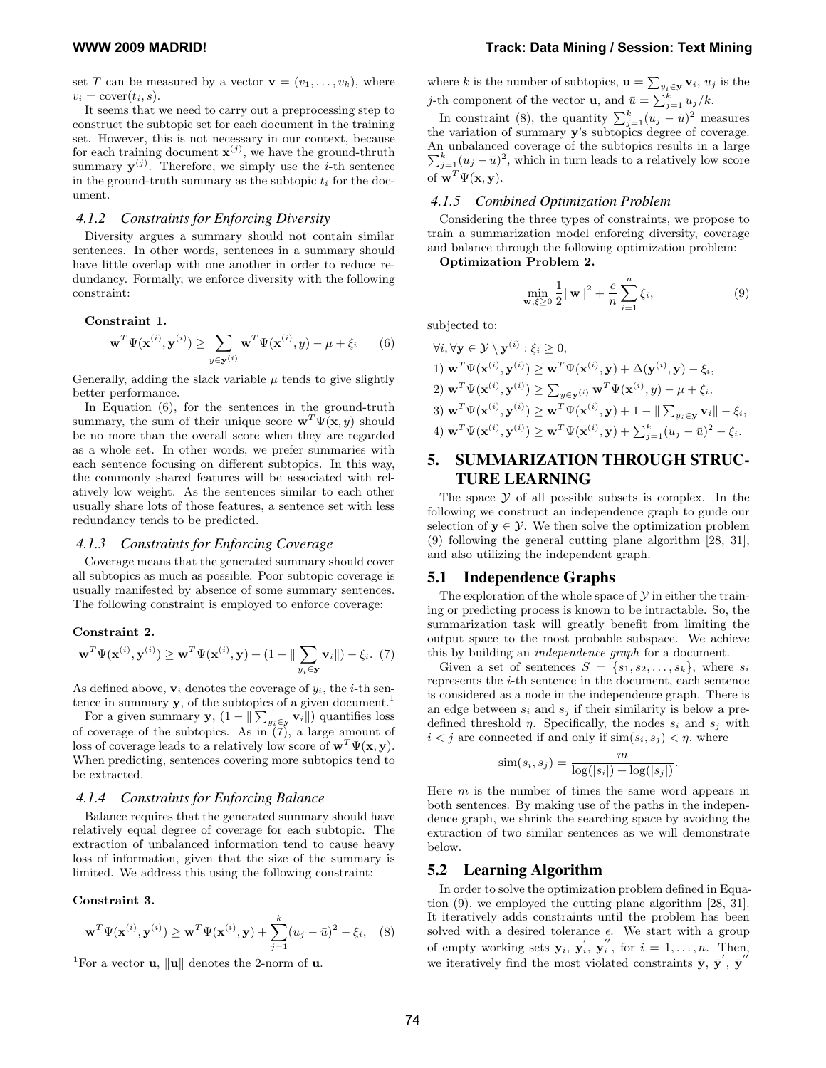set T can be measured by a vector  $\mathbf{v} = (v_1, \dots, v_k)$ , where  $v_i = \text{cover}(t_i, s).$ 

It seems that we need to carry out a preprocessing step to construct the subtopic set for each document in the training set. However, this is not necessary in our context, because for each training document  $\mathbf{x}^{(j)}$ , we have the ground-thruth summary  $y^{(j)}$ . Therefore, we simply use the *i*-th sentence in the ground-truth summary as the subtopic  $t_i$  for the document.

#### *4.1.2 Constraints for Enforcing Diversity*

Diversity argues a summary should not contain similar sentences. In other words, sentences in a summary should have little overlap with one another in order to reduce redundancy. Formally, we enforce diversity with the following constraint:

Constraint 1.

$$
\mathbf{w}^T \Psi(\mathbf{x}^{(i)}, \mathbf{y}^{(i)}) \ge \sum_{y \in \mathbf{y}^{(i)}} \mathbf{w}^T \Psi(\mathbf{x}^{(i)}, y) - \mu + \xi_i \qquad (6)
$$

Generally, adding the slack variable  $\mu$  tends to give slightly better performance.

In Equation (6), for the sentences in the ground-truth summary, the sum of their unique score  $\mathbf{w}^T \Psi(\mathbf{x}, y)$  should be no more than the overall score when they are regarded as a whole set. In other words, we prefer summaries with each sentence focusing on different subtopics. In this way, the commonly shared features will be associated with relatively low weight. As the sentences similar to each other usually share lots of those features, a sentence set with less redundancy tends to be predicted.

#### *4.1.3 Constraints for Enforcing Coverage*

Coverage means that the generated summary should cover all subtopics as much as possible. Poor subtopic coverage is usually manifested by absence of some summary sentences. The following constraint is employed to enforce coverage:

#### Constraint 2.

$$
\mathbf{w}^T \Psi(\mathbf{x}^{(i)}, \mathbf{y}^{(i)}) \ge \mathbf{w}^T \Psi(\mathbf{x}^{(i)}, \mathbf{y}) + (1 - ||\sum_{y_i \in \mathbf{y}} \mathbf{v}_i||) - \xi_i.
$$
 (7)

As defined above,  $v_i$  denotes the coverage of  $y_i$ , the *i*-th sentence in summary  $y$ , of the subtopics of a given document.<sup>1</sup>

For a given summary  $\mathbf{y}, (1 - \|\sum_{y_i \in \mathbf{y}} \mathbf{v}_i\|)$  quantifies loss of coverage of the subtopics. As in (7), a large amount of loss of coverage leads to a relatively low score of  $\mathbf{w}^T \Psi(\mathbf{x}, \mathbf{y})$ . When predicting, sentences covering more subtopics tend to be extracted.

#### *4.1.4 Constraints for Enforcing Balance*

Balance requires that the generated summary should have relatively equal degree of coverage for each subtopic. The extraction of unbalanced information tend to cause heavy loss of information, given that the size of the summary is limited. We address this using the following constraint:

#### Constraint 3.

$$
\mathbf{w}^T \Psi(\mathbf{x}^{(i)}, \mathbf{y}^{(i)}) \ge \mathbf{w}^T \Psi(\mathbf{x}^{(i)}, \mathbf{y}) + \sum_{j=1}^k (u_j - \bar{u})^2 - \xi_i, \quad (8)
$$

where k is the number of subtopics,  $\mathbf{u} = \sum_{y_i \in \mathbf{y}} \mathbf{v}_i$ ,  $u_j$  is the *j*-th component of the vector **u**, and  $\bar{u} = \sum_{j=1}^{k} u_j/k$ .

In constraint (8), the quantity  $\sum_{j=1}^{k} (u_j - \bar{u})^2$  measures the variation of summary y's subtopics degree of coverage. An unbalanced coverage of the subtopics results in a large  $\sum_{j=1}^{k} (u_j - \bar{u})^2$ , which in turn leads to a relatively low score of  $\mathbf{w}^T \Psi(\mathbf{x}, \mathbf{y})$ .

# *4.1.5 Combined Optimization Problem*

Considering the three types of constraints, we propose to train a summarization model enforcing diversity, coverage and balance through the following optimization problem:

Optimization Problem 2.

$$
\min_{\mathbf{w}, \xi \ge 0} \frac{1}{2} ||\mathbf{w}||^2 + \frac{c}{n} \sum_{i=1}^n \xi_i,
$$
\n(9)

subjected to:

$$
\forall i, \forall \mathbf{y} \in \mathcal{Y} \setminus \mathbf{y}^{(i)} : \xi_i \ge 0,
$$
  
\n1) 
$$
\mathbf{w}^T \Psi(\mathbf{x}^{(i)}, \mathbf{y}^{(i)}) \ge \mathbf{w}^T \Psi(\mathbf{x}^{(i)}, \mathbf{y}) + \Delta(\mathbf{y}^{(i)}, \mathbf{y}) - \xi_i,
$$
  
\n2) 
$$
\mathbf{w}^T \Psi(\mathbf{x}^{(i)}, \mathbf{y}^{(i)}) \ge \sum_{y \in \mathbf{y}^{(i)}} \mathbf{w}^T \Psi(\mathbf{x}^{(i)}, y) - \mu + \xi_i,
$$
  
\n3) 
$$
\mathbf{w}^T \Psi(\mathbf{x}^{(i)}, \mathbf{y}^{(i)}) \ge \mathbf{w}^T \Psi(\mathbf{x}^{(i)}, \mathbf{y}) + 1 - ||\sum_{y_i \in \mathbf{y}} \mathbf{v}_i|| - \xi_i,
$$
  
\n4) 
$$
\mathbf{w}^T \Psi(\mathbf{x}^{(i)}, \mathbf{y}^{(i)}) \ge \mathbf{w}^T \Psi(\mathbf{x}^{(i)}, \mathbf{y}) + \sum_{j=1}^k (u_j - \bar{u})^2 - \xi_i.
$$

# **5. SUMMARIZATION THROUGH STRUC-TURE LEARNING**

The space  $\mathcal Y$  of all possible subsets is complex. In the following we construct an independence graph to guide our selection of  $y \in \mathcal{Y}$ . We then solve the optimization problem (9) following the general cutting plane algorithm [28, 31], and also utilizing the independent graph.

# **5.1 Independence Graphs**

The exploration of the whole space of  $\mathcal Y$  in either the training or predicting process is known to be intractable. So, the summarization task will greatly benefit from limiting the output space to the most probable subspace. We achieve this by building an independence graph for a document.

Given a set of sentences  $S = \{s_1, s_2, \ldots, s_k\}$ , where  $s_i$ represents the i-th sentence in the document, each sentence is considered as a node in the independence graph. There is an edge between  $s_i$  and  $s_j$  if their similarity is below a predefined threshold  $\eta$ . Specifically, the nodes  $s_i$  and  $s_j$  with  $i < j$  are connected if and only if  $\text{sim}(s_i, s_j) < \eta$ , where

$$
sim(s_i, s_j) = \frac{m}{log(|s_i|) + log(|s_j|)}.
$$

Here  $m$  is the number of times the same word appears in both sentences. By making use of the paths in the independence graph, we shrink the searching space by avoiding the extraction of two similar sentences as we will demonstrate below.

# **5.2 Learning Algorithm**

In order to solve the optimization problem defined in Equation (9), we employed the cutting plane algorithm [28, 31]. It iteratively adds constraints until the problem has been solved with a desired tolerance  $\epsilon$ . We start with a group of empty working sets  $y_i$ ,  $y'_i$  $'_{i},\mathbf{y}_{i}^{''}$  $i$ , for  $i = 1, \ldots, n$ . Then, we iteratively find the most violated constraints  $\bar{y}, \bar{y}, \bar{y}$ 

<sup>&</sup>lt;sup>1</sup>For a vector **u**, ||**u**|| denotes the 2-norm of **u**.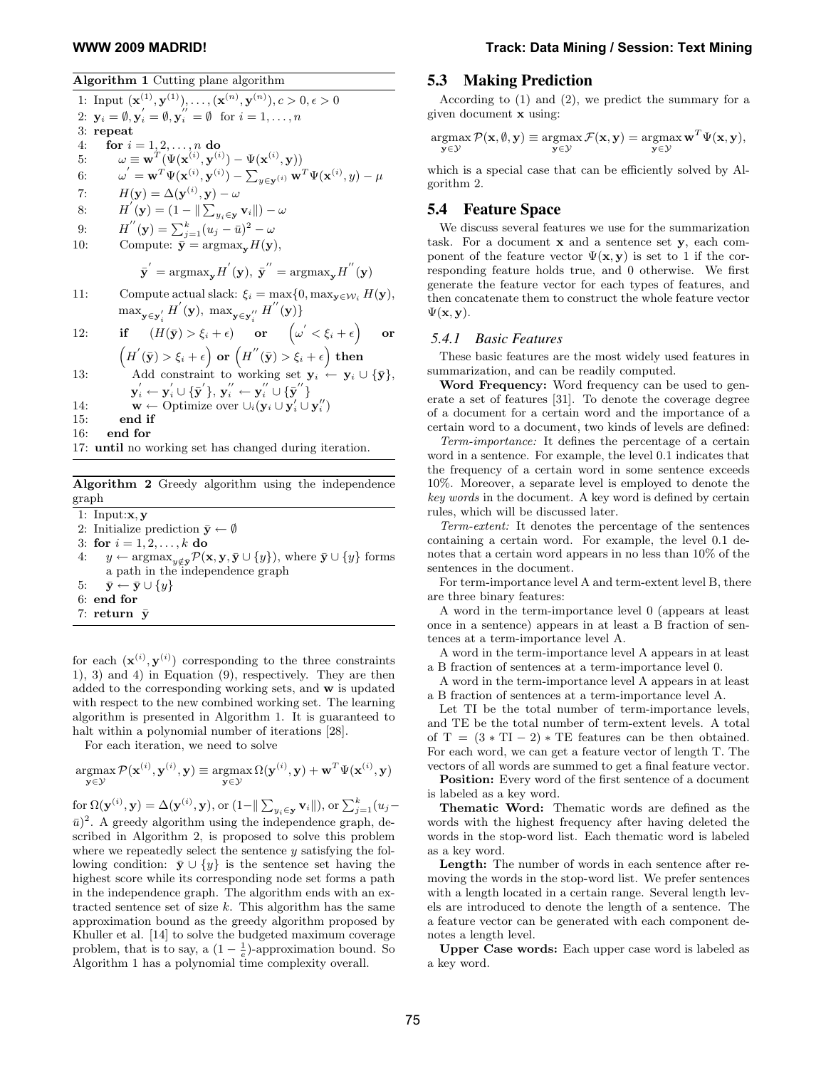Algorithm 1 Cutting plane algorithm

Algorithm I Letting plane algorithm  
\n1: Input 
$$
(\mathbf{x}^{(1)}, \mathbf{y}^{(1)}), \ldots, (\mathbf{x}^{(n)}, \mathbf{y}^{(n)}), c > 0, \epsilon > 0
$$
  
\n2:  $\mathbf{y}_i = \emptyset, \mathbf{y}_i' = \emptyset, \mathbf{y}_i'' = \emptyset$  for  $i = 1, ..., n$   
\n3: repeat  
\n4: for  $i = 1, 2, ..., n$  do  
\n5:  $\omega \equiv \mathbf{w}^T(\Psi(\mathbf{x}^{(i)}, \mathbf{y}^{(i)}) - \Psi(\mathbf{x}^{(i)}, \mathbf{y}))$   
\n6:  $\omega' = \mathbf{w}^T\Psi(\mathbf{x}^{(i)}, \mathbf{y}^{(i)}) - \sum_{y \in \mathbf{y}^{(i)}} \mathbf{w}^T\Psi(\mathbf{x}^{(i)}, y) - \mu$   
\n7:  $H(\mathbf{y}) = \Delta(\mathbf{y}^{(i)}, \mathbf{y}) - \omega$   
\n8:  $H'(\mathbf{y}) = (1 - ||\sum_{y_i \in \mathbf{y}} \mathbf{v}_i||) - \omega$   
\n9:  $H''(\mathbf{y}) = \sum_{j=1}^{k} (u_j - \bar{u})^2 - \omega$   
\n10: Compute:  $\bar{\mathbf{y}} = \operatorname{argmax}_{\mathbf{y}} H(\mathbf{y}),$   
\n $\bar{\mathbf{y}}' = \operatorname{argmax}_{\mathbf{y}} H'(\mathbf{y}), \ \bar{\mathbf{y}}'' = \operatorname{argmax}_{\mathbf{y}} H''(\mathbf{y})$   
\n11: Compute actual slack:  $\xi_i = \max\{0, \max_{\mathbf{y} \in \mathbf{W}_i} H(\mathbf{y}), \max_{\mathbf{y} \in \mathbf{y}_i'} H'(\mathbf{y})\}$   
\n12: **if**  $(H(\bar{\mathbf{y}}) > \xi_i + \epsilon)$  or  $(\omega' < \xi_i + \epsilon)$  or  
\n $(H'(\bar{\mathbf{y}}) > \xi_i + \epsilon)$  or  $(H''(\bar{\mathbf{y}}) > \xi_i + \epsilon)$  then  
\n13: Add constraint to working set  $\mathbf{y}_i \leftarrow \mathbf{y}_i \$ 

Algorithm 2 Greedy algorithm using the independence graph

1: Input: $\mathbf{x}, \mathbf{y}$ 

2: Initialize prediction  $\bar{\mathbf{y}} \leftarrow \emptyset$ 

3: for  $i = 1, 2, ..., k$  do

- 4:  $y \leftarrow \argmax_{y \notin \bar{\mathbf{y}}} \mathcal{P}(\mathbf{x}, \mathbf{y}, \bar{\mathbf{y}} \cup \{y\})$ , where  $\bar{\mathbf{y}} \cup \{y\}$  forms a path in the independence graph 5:  $\bar{\mathbf{y}} \leftarrow \bar{\mathbf{y}} \cup \{y\}$
- 6: end for
- 7: return  $\bar{v}$

for each  $(\mathbf{x}^{(i)}, \mathbf{y}^{(i)})$  corresponding to the three constraints 1), 3) and 4) in Equation (9), respectively. They are then added to the corresponding working sets, and w is updated with respect to the new combined working set. The learning algorithm is presented in Algorithm 1. It is guaranteed to halt within a polynomial number of iterations [28].

For each iteration, we need to solve

$$
\mathop{\mathrm{argmax}}_{\mathbf{y} \in \mathcal{Y}} \mathcal{P}(\mathbf{x}^{(i)}, \mathbf{y}^{(i)}, \mathbf{y}) \equiv \mathop{\mathrm{argmax}}_{\mathbf{y} \in \mathcal{Y}} \Omega(\mathbf{y}^{(i)}, \mathbf{y}) + \mathbf{w}^T \Psi(\mathbf{x}^{(i)}, \mathbf{y})
$$

for  $\Omega(\mathbf{y}^{(i)}, \mathbf{y}) = \Delta(\mathbf{y}^{(i)}, \mathbf{y}),$  or  $(1-\|\sum_{y_i \in \mathbf{y}} \mathbf{v}_i\|)$ , or  $\sum_{j=1}^k (u_j \bar{u}$ <sup>2</sup>. A greedy algorithm using the independence graph, described in Algorithm 2, is proposed to solve this problem where we repeatedly select the sentence  $y$  satisfying the following condition:  $\bar{\mathbf{y}} \cup \{y\}$  is the sentence set having the highest score while its corresponding node set forms a path in the independence graph. The algorithm ends with an extracted sentence set of size  $k$ . This algorithm has the same approximation bound as the greedy algorithm proposed by Khuller et al. [14] to solve the budgeted maximum coverage problem, that is to say, a  $(1 - \frac{1}{e})$ -approximation bound. So Algorithm 1 has a polynomial time complexity overall.

#### **WWW 2009 MADRID! Track: Data Mining / Session: Text Mining**

# **5.3 Making Prediction**

According to (1) and (2), we predict the summary for a given document x using:

$$
\underset{\mathbf{y}\in\mathcal{Y}}{\operatorname{argmax}} \mathcal{P}(\mathbf{x},\emptyset,\mathbf{y}) \equiv \underset{\mathbf{y}\in\mathcal{Y}}{\operatorname{argmax}} \mathcal{F}(\mathbf{x},\mathbf{y}) = \underset{\mathbf{y}\in\mathcal{Y}}{\operatorname{argmax}} \mathbf{w}^T \Psi(\mathbf{x},\mathbf{y}),
$$

which is a special case that can be efficiently solved by Algorithm 2.

# **5.4 Feature Space**

We discuss several features we use for the summarization task. For a document x and a sentence set y, each component of the feature vector  $\Psi(\mathbf{x}, \mathbf{y})$  is set to 1 if the corresponding feature holds true, and 0 otherwise. We first generate the feature vector for each types of features, and then concatenate them to construct the whole feature vector  $\Psi(\mathbf{x}, \mathbf{y}).$ 

#### *5.4.1 Basic Features*

These basic features are the most widely used features in summarization, and can be readily computed.

Word Frequency: Word frequency can be used to generate a set of features [31]. To denote the coverage degree of a document for a certain word and the importance of a certain word to a document, two kinds of levels are defined:

Term-importance: It defines the percentage of a certain word in a sentence. For example, the level 0.1 indicates that the frequency of a certain word in some sentence exceeds 10%. Moreover, a separate level is employed to denote the key words in the document. A key word is defined by certain rules, which will be discussed later.

Term-extent: It denotes the percentage of the sentences containing a certain word. For example, the level 0.1 denotes that a certain word appears in no less than 10% of the sentences in the document.

For term-importance level A and term-extent level B, there are three binary features:

A word in the term-importance level 0 (appears at least once in a sentence) appears in at least a B fraction of sentences at a term-importance level A.

A word in the term-importance level A appears in at least a B fraction of sentences at a term-importance level 0.

A word in the term-importance level A appears in at least a B fraction of sentences at a term-importance level A.

Let TI be the total number of term-importance levels, and TE be the total number of term-extent levels. A total of  $T = (3 * TI - 2) * TE$  features can be then obtained. For each word, we can get a feature vector of length T. The vectors of all words are summed to get a final feature vector.

Position: Every word of the first sentence of a document is labeled as a key word.

Thematic Word: Thematic words are defined as the words with the highest frequency after having deleted the words in the stop-word list. Each thematic word is labeled as a key word.

Length: The number of words in each sentence after removing the words in the stop-word list. We prefer sentences with a length located in a certain range. Several length levels are introduced to denote the length of a sentence. The a feature vector can be generated with each component denotes a length level.

Upper Case words: Each upper case word is labeled as a key word.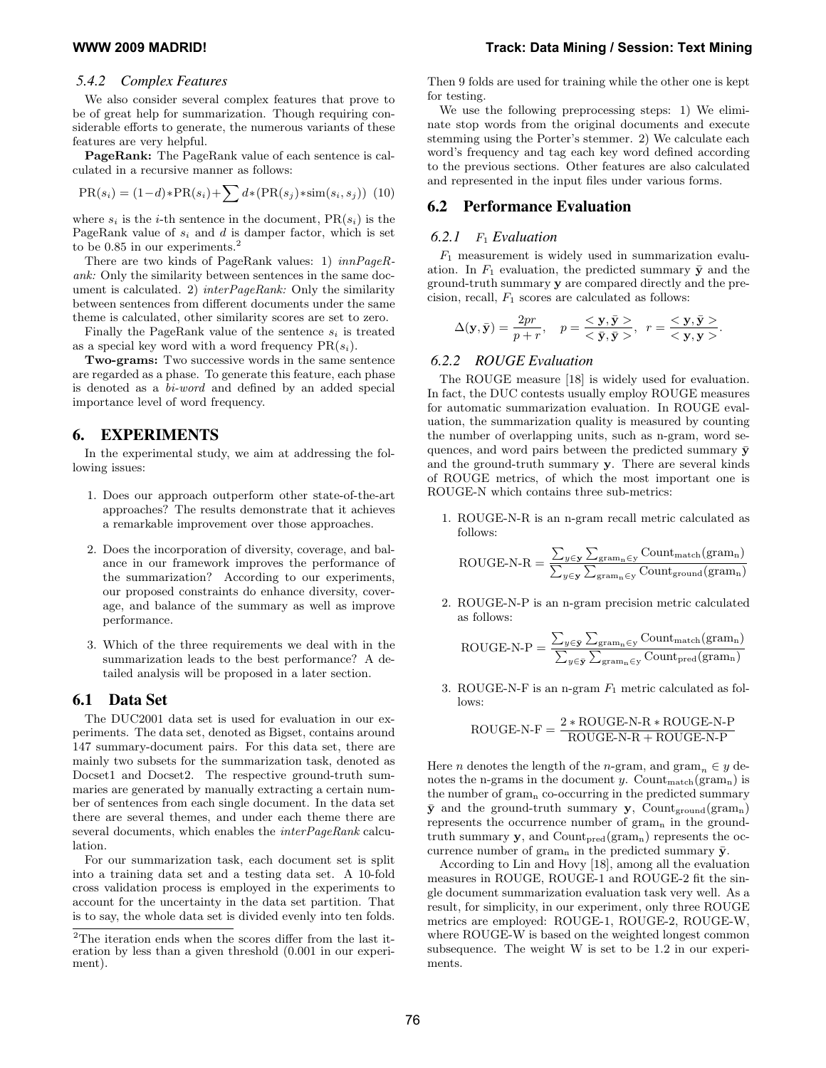#### *5.4.2 Complex Features*

We also consider several complex features that prove to be of great help for summarization. Though requiring considerable efforts to generate, the numerous variants of these features are very helpful.

PageRank: The PageRank value of each sentence is calculated in a recursive manner as follows:

$$
PR(s_i) = (1-d) * PR(s_i) + \sum d * (PR(s_j) * sim(s_i, s_j))
$$
(10)

where  $s_i$  is the *i*-th sentence in the document,  $PR(s_i)$  is the PageRank value of  $s_i$  and d is damper factor, which is set to be 0.85 in our experiments.<sup>2</sup>

There are two kinds of PageRank values: 1) innPageRank: Only the similarity between sentences in the same document is calculated. 2) interPageRank: Only the similarity between sentences from different documents under the same theme is calculated, other similarity scores are set to zero.

Finally the PageRank value of the sentence  $s_i$  is treated as a special key word with a word frequency  $PR(s_i)$ .

Two-grams: Two successive words in the same sentence are regarded as a phase. To generate this feature, each phase is denoted as a bi-word and defined by an added special importance level of word frequency.

# **6. EXPERIMENTS**

In the experimental study, we aim at addressing the following issues:

- 1. Does our approach outperform other state-of-the-art approaches? The results demonstrate that it achieves a remarkable improvement over those approaches.
- 2. Does the incorporation of diversity, coverage, and balance in our framework improves the performance of the summarization? According to our experiments, our proposed constraints do enhance diversity, coverage, and balance of the summary as well as improve performance.
- 3. Which of the three requirements we deal with in the summarization leads to the best performance? A detailed analysis will be proposed in a later section.

#### **6.1 Data Set**

The DUC2001 data set is used for evaluation in our experiments. The data set, denoted as Bigset, contains around 147 summary-document pairs. For this data set, there are mainly two subsets for the summarization task, denoted as Docset1 and Docset2. The respective ground-truth summaries are generated by manually extracting a certain number of sentences from each single document. In the data set there are several themes, and under each theme there are several documents, which enables the  $interPageRank$  calculation.

For our summarization task, each document set is split into a training data set and a testing data set. A 10-fold cross validation process is employed in the experiments to account for the uncertainty in the data set partition. That is to say, the whole data set is divided evenly into ten folds.

Then 9 folds are used for training while the other one is kept for testing.

We use the following preprocessing steps: 1) We eliminate stop words from the original documents and execute stemming using the Porter's stemmer. 2) We calculate each word's frequency and tag each key word defined according to the previous sections. Other features are also calculated and represented in the input files under various forms.

# **6.2 Performance Evaluation**

#### *6.2.1* F<sup>1</sup> *Evaluation*

 $F_1$  measurement is widely used in summarization evaluation. In  $F_1$  evaluation, the predicted summary  $\bar{y}$  and the ground-truth summary y are compared directly and the precision, recall,  $F_1$  scores are calculated as follows:

$$
\Delta(\mathbf{y}, \bar{\mathbf{y}}) = \frac{2pr}{p+r}, \quad p = \frac{\langle \mathbf{y}, \bar{\mathbf{y}} \rangle}{\langle \bar{\mathbf{y}}, \bar{\mathbf{y}} \rangle}, \quad r = \frac{\langle \mathbf{y}, \bar{\mathbf{y}} \rangle}{\langle \mathbf{y}, \mathbf{y} \rangle}.
$$

#### *6.2.2 ROUGE Evaluation*

The ROUGE measure [18] is widely used for evaluation. In fact, the DUC contests usually employ ROUGE measures for automatic summarization evaluation. In ROUGE evaluation, the summarization quality is measured by counting the number of overlapping units, such as n-gram, word sequences, and word pairs between the predicted summary  $\bar{y}$ and the ground-truth summary y. There are several kinds of ROUGE metrics, of which the most important one is ROUGE-N which contains three sub-metrics:

1. ROUGE-N-R is an n-gram recall metric calculated as follows:

$$
ROUGE-N-R = \frac{\sum_{y \in \mathbf{y}} \sum_{\text{gram}_{n} \in \mathbf{y}} Count_{\text{match}}(\text{gram}_{n})}{\sum_{y \in \mathbf{y}} \sum_{\text{gram}_{n} \in \mathbf{y}} Count_{\text{ground}}(\text{gram}_{n})}
$$

2. ROUGE-N-P is an n-gram precision metric calculated as follows:

$$
ROUGE-N-P = \frac{\sum_{y \in \bar{\mathbf{y}}} \sum_{\text{gram}_n \in \mathbf{y}} Count_{match}(\text{gram}_n)}{\sum_{y \in \bar{\mathbf{y}}} \sum_{\text{gram}_n \in \mathbf{y}} Count_{pred}(\text{gram}_n)}
$$

3. ROUGE-N-F is an n-gram  $F_1$  metric calculated as follows:

$$
ROUGE-N-F = \frac{2 * ROUGE-N-R * ROUGE-N-P}{ROUGE-N-R + ROUGE-N-P}
$$

Here *n* denotes the length of the *n*-gram, and gram<sub>n</sub>  $\in$  *y* denotes the n-grams in the document y. Count $_{\text{match}}(\text{gram}_n)$  is the number of  $\gamma$  gram<sub>n</sub> co-occurring in the predicted summary  $\bar{y}$  and the ground-truth summary y, Count<sub>ground</sub>(gram<sub>n</sub>) represents the occurrence number of  $\gamma$  in the groundtruth summary  $\mathbf{y}$ , and Count<sub>pred</sub>(gram<sub>n</sub>) represents the occurrence number of gram<sub>n</sub> in the predicted summary  $\bar{y}$ .

According to Lin and Hovy [18], among all the evaluation measures in ROUGE, ROUGE-1 and ROUGE-2 fit the single document summarization evaluation task very well. As a result, for simplicity, in our experiment, only three ROUGE metrics are employed: ROUGE-1, ROUGE-2, ROUGE-W, where ROUGE-W is based on the weighted longest common subsequence. The weight W is set to be 1.2 in our experiments.

 $^2 \mathrm{The \ iteration \ ends}$  when the scores differ from the last iteration by less than a given threshold (0.001 in our experiment).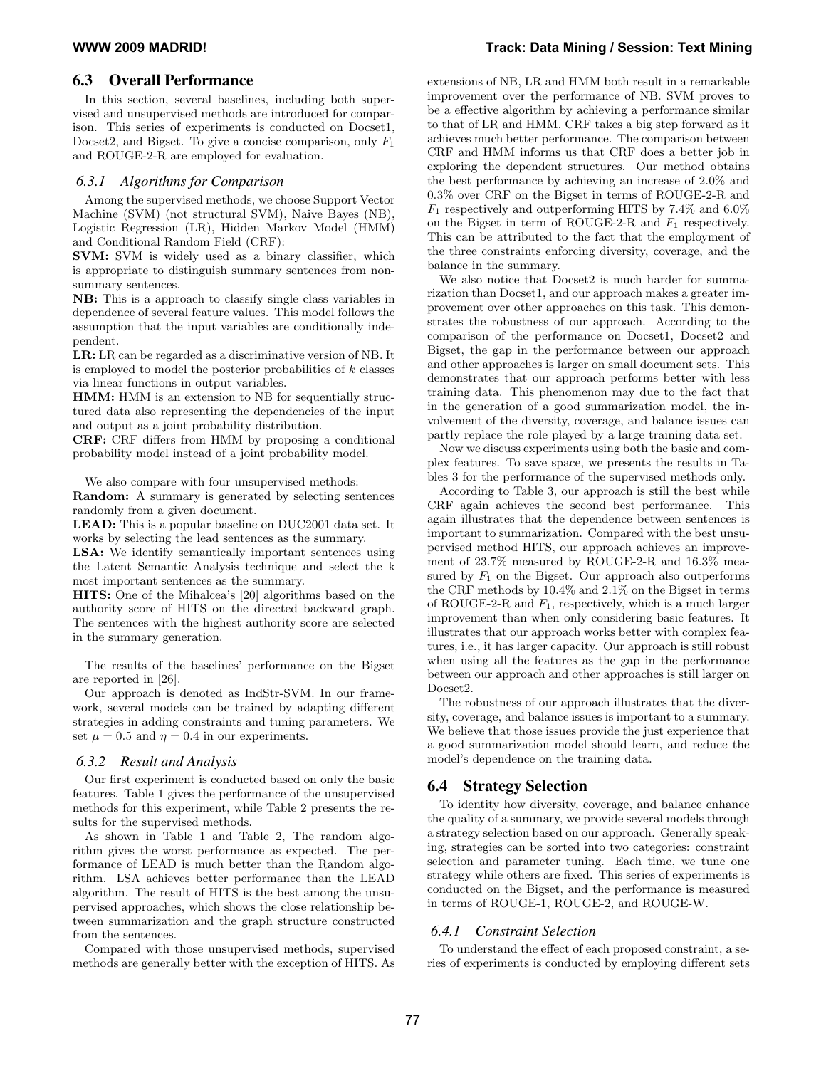# **6.3 Overall Performance**

In this section, several baselines, including both supervised and unsupervised methods are introduced for comparison. This series of experiments is conducted on Docset1, Docset2, and Bigset. To give a concise comparison, only  $F_1$ and ROUGE-2-R are employed for evaluation.

#### *6.3.1 Algorithms for Comparison*

Among the supervised methods, we choose Support Vector Machine (SVM) (not structural SVM), Naive Bayes (NB), Logistic Regression (LR), Hidden Markov Model (HMM) and Conditional Random Field (CRF):

SVM: SVM is widely used as a binary classifier, which is appropriate to distinguish summary sentences from nonsummary sentences.

NB: This is a approach to classify single class variables in dependence of several feature values. This model follows the assumption that the input variables are conditionally independent.

LR: LR can be regarded as a discriminative version of NB. It is employed to model the posterior probabilities of  $k$  classes via linear functions in output variables.

HMM: HMM is an extension to NB for sequentially structured data also representing the dependencies of the input and output as a joint probability distribution.

CRF: CRF differs from HMM by proposing a conditional probability model instead of a joint probability model.

We also compare with four unsupervised methods: Random: A summary is generated by selecting sentences randomly from a given document.

LEAD: This is a popular baseline on DUC2001 data set. It works by selecting the lead sentences as the summary.

LSA: We identify semantically important sentences using the Latent Semantic Analysis technique and select the k most important sentences as the summary.

HITS: One of the Mihalcea's [20] algorithms based on the authority score of HITS on the directed backward graph. The sentences with the highest authority score are selected in the summary generation.

The results of the baselines' performance on the Bigset are reported in [26].

Our approach is denoted as IndStr-SVM. In our framework, several models can be trained by adapting different strategies in adding constraints and tuning parameters. We set  $\mu = 0.5$  and  $\eta = 0.4$  in our experiments.

#### *6.3.2 Result and Analysis*

Our first experiment is conducted based on only the basic features. Table 1 gives the performance of the unsupervised methods for this experiment, while Table 2 presents the results for the supervised methods.

As shown in Table 1 and Table 2, The random algorithm gives the worst performance as expected. The performance of LEAD is much better than the Random algorithm. LSA achieves better performance than the LEAD algorithm. The result of HITS is the best among the unsupervised approaches, which shows the close relationship between summarization and the graph structure constructed from the sentences.

Compared with those unsupervised methods, supervised methods are generally better with the exception of HITS. As extensions of NB, LR and HMM both result in a remarkable improvement over the performance of NB. SVM proves to be a effective algorithm by achieving a performance similar to that of LR and HMM. CRF takes a big step forward as it achieves much better performance. The comparison between CRF and HMM informs us that CRF does a better job in exploring the dependent structures. Our method obtains the best performance by achieving an increase of 2.0% and 0.3% over CRF on the Bigset in terms of ROUGE-2-R and  $F_1$  respectively and outperforming HITS by 7.4% and 6.0% on the Bigset in term of ROUGE-2-R and  $F_1$  respectively. This can be attributed to the fact that the employment of the three constraints enforcing diversity, coverage, and the balance in the summary.

We also notice that Docset2 is much harder for summarization than Docset1, and our approach makes a greater improvement over other approaches on this task. This demonstrates the robustness of our approach. According to the comparison of the performance on Docset1, Docset2 and Bigset, the gap in the performance between our approach and other approaches is larger on small document sets. This demonstrates that our approach performs better with less training data. This phenomenon may due to the fact that in the generation of a good summarization model, the involvement of the diversity, coverage, and balance issues can partly replace the role played by a large training data set.

Now we discuss experiments using both the basic and complex features. To save space, we presents the results in Tables 3 for the performance of the supervised methods only.

According to Table 3, our approach is still the best while CRF again achieves the second best performance. This again illustrates that the dependence between sentences is important to summarization. Compared with the best unsupervised method HITS, our approach achieves an improvement of 23.7% measured by ROUGE-2-R and 16.3% measured by  $F_1$  on the Bigset. Our approach also outperforms the CRF methods by 10.4% and 2.1% on the Bigset in terms of ROUGE-2-R and  $F_1$ , respectively, which is a much larger improvement than when only considering basic features. It illustrates that our approach works better with complex features, i.e., it has larger capacity. Our approach is still robust when using all the features as the gap in the performance between our approach and other approaches is still larger on Docset<sub>2</sub>.

The robustness of our approach illustrates that the diversity, coverage, and balance issues is important to a summary. We believe that those issues provide the just experience that a good summarization model should learn, and reduce the model's dependence on the training data.

# **6.4 Strategy Selection**

To identity how diversity, coverage, and balance enhance the quality of a summary, we provide several models through a strategy selection based on our approach. Generally speaking, strategies can be sorted into two categories: constraint selection and parameter tuning. Each time, we tune one strategy while others are fixed. This series of experiments is conducted on the Bigset, and the performance is measured in terms of ROUGE-1, ROUGE-2, and ROUGE-W.

# *6.4.1 Constraint Selection*

To understand the effect of each proposed constraint, a series of experiments is conducted by employing different sets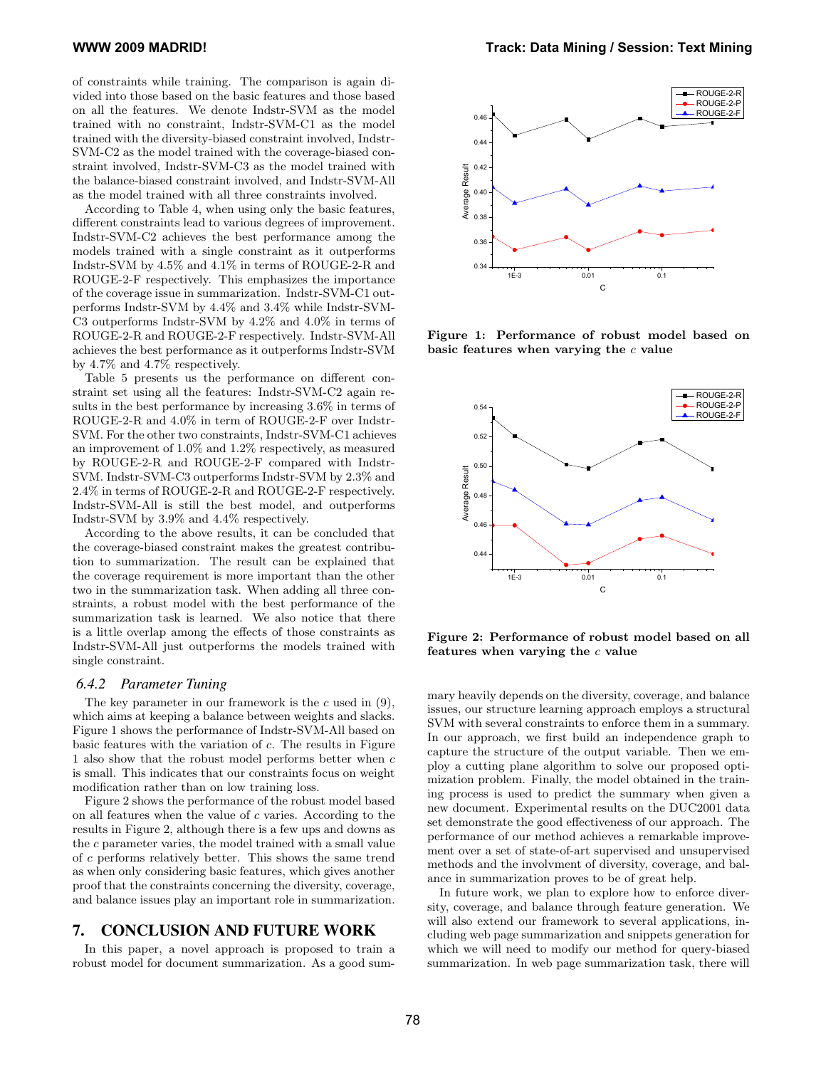of constraints while training. The comparison is again divided into those based on the basic features and those based on all the features. We denote Indstr-SVM as the model trained with no constraint, Indstr-SVM-C1 as the model trained with the diversity-biased constraint involved, Indstr-SVM-C2 as the model trained with the coverage-biased constraint involved, Indstr-SVM-C3 as the model trained with the balance-biased constraint involved, and Indstr-SVM-All as the model trained with all three constraints involved.

According to Table 4, when using only the basic features, different constraints lead to various degrees of improvement. Indstr-SVM-C2 achieves the best performance among the models trained with a single constraint as it outperforms Indstr-SVM by 4.5% and 4.1% in terms of ROUGE-2-R and ROUGE-2-F respectively. This emphasizes the importance of the coverage issue in summarization. Indstr-SVM-C1 outperforms Indstr-SVM by 4.4% and 3.4% while Indstr-SVM-C3 outperforms Indstr-SVM by 4.2% and 4.0% in terms of ROUGE-2-R and ROUGE-2-F respectively. Indstr-SVM-All achieves the best performance as it outperforms Indstr-SVM by 4.7% and 4.7% respectively.

Table 5 presents us the performance on different constraint set using all the features: Indstr-SVM-C2 again results in the best performance by increasing 3.6% in terms of ROUGE-2-R and 4.0% in term of ROUGE-2-F over Indstr-SVM. For the other two constraints, Indstr-SVM-C1 achieves an improvement of 1.0% and 1.2% respectively, as measured by ROUGE-2-R and ROUGE-2-F compared with Indstr-SVM. Indstr-SVM-C3 outperforms Indstr-SVM by 2.3% and 2.4% in terms of ROUGE-2-R and ROUGE-2-F respectively. Indstr-SVM-All is still the best model, and outperforms Indstr-SVM by 3.9% and 4.4% respectively.

According to the above results, it can be concluded that the coverage-biased constraint makes the greatest contribution to summarization. The result can be explained that the coverage requirement is more important than the other two in the summarization task. When adding all three constraints, a robust model with the best performance of the summarization task is learned. We also notice that there is a little overlap among the effects of those constraints as Indstr-SVM-All just outperforms the models trained with single constraint.

#### *6.4.2 Parameter Tuning*

The key parameter in our framework is the  $c$  used in  $(9)$ , which aims at keeping a balance between weights and slacks. Figure 1 shows the performance of Indstr-SVM-All based on basic features with the variation of  $c$ . The results in Figure 1 also show that the robust model performs better when c is small. This indicates that our constraints focus on weight modification rather than on low training loss.

Figure 2 shows the performance of the robust model based on all features when the value of c varies. According to the results in Figure 2, although there is a few ups and downs as the c parameter varies, the model trained with a small value of c performs relatively better. This shows the same trend as when only considering basic features, which gives another proof that the constraints concerning the diversity, coverage, and balance issues play an important role in summarization.

### **7. CONCLUSION AND FUTURE WORK**

In this paper, a novel approach is proposed to train a robust model for document summarization. As a good sum-



Figure 1: Performance of robust model based on basic features when varying the  $c$  value



Figure 2: Performance of robust model based on all features when varying the  $c$  value

mary heavily depends on the diversity, coverage, and balance issues, our structure learning approach employs a structural SVM with several constraints to enforce them in a summary. In our approach, we first build an independence graph to capture the structure of the output variable. Then we employ a cutting plane algorithm to solve our proposed optimization problem. Finally, the model obtained in the training process is used to predict the summary when given a new document. Experimental results on the DUC2001 data set demonstrate the good effectiveness of our approach. The performance of our method achieves a remarkable improvement over a set of state-of-art supervised and unsupervised methods and the involvment of diversity, coverage, and balance in summarization proves to be of great help.

In future work, we plan to explore how to enforce diversity, coverage, and balance through feature generation. We will also extend our framework to several applications, including web page summarization and snippets generation for which we will need to modify our method for query-biased summarization. In web page summarization task, there will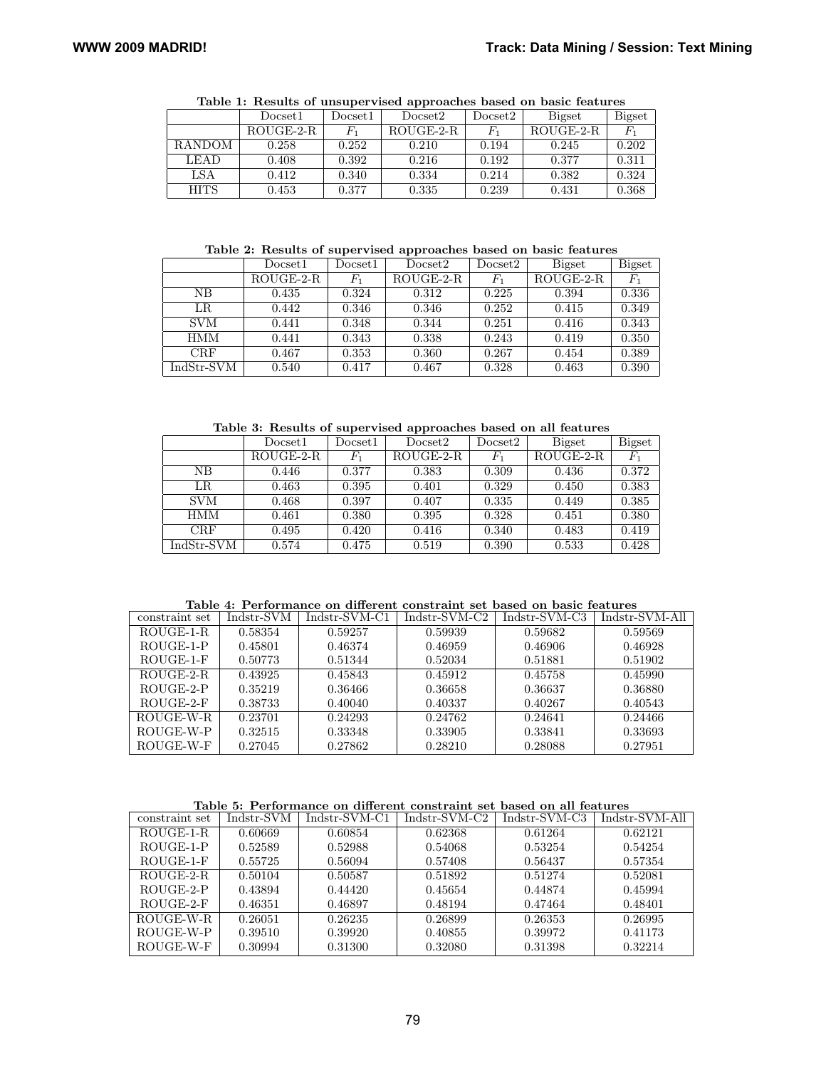| Lable 1. Results of unsupervised approaches based on basic reatures |             |         |             |                |               |               |  |
|---------------------------------------------------------------------|-------------|---------|-------------|----------------|---------------|---------------|--|
|                                                                     | Docset1     | Docset1 | Docset2     | Docset2        | <b>Bigset</b> | <b>Bigset</b> |  |
|                                                                     | $ROUGE-2-R$ | $F_{1}$ | $ROUGE-2-R$ | $_{F_{\rm 1}}$ | $ROUGE-2-R$   | $F_1$         |  |
| RANDOM                                                              | 0.258       | 0.252   | 0.210       | 0.194          | 0.245         | 0.202         |  |
| <b>LEAD</b>                                                         | 0.408       | 0.392   | 0.216       | 0.192          | 0.377         | 0.311         |  |
| LSA                                                                 | 0.412       | 0.340   | 0.334       | 0.214          | 0.382         | 0.324         |  |
| <b>HITS</b>                                                         | 0.453       | 0.377   | 0.335       | 0.239          | 0.431         | 0.368         |  |

Table 1: Results of unsupervised approaches based on basic features

Table 2: Results of supervised approaches based on basic features

|            | Docset <sub>1</sub> | Docset1 | Docset2   | Docset2 | <b>Bigset</b> | <b>Bigset</b> |
|------------|---------------------|---------|-----------|---------|---------------|---------------|
|            | ROUGE-2-R           | $F_1$   | ROUGE-2-R | $F_1$   | $ROUGE-2-R$   | $F_{1}$       |
| NB         | 0.435               | 0.324   | 0.312     | 0.225   | 0.394         | 0.336         |
| LR         | 0.442               | 0.346   | 0.346     | 0.252   | 0.415         | 0.349         |
| <b>SVM</b> | 0.441               | 0.348   | 0.344     | 0.251   | 0.416         | 0.343         |
| <b>HMM</b> | 0.441               | 0.343   | 0.338     | 0.243   | 0.419         | 0.350         |
| <b>CRF</b> | 0.467               | 0.353   | 0.360     | 0.267   | 0.454         | 0.389         |
| IndStr-SVM | 0.540               | 0.417   | 0.467     | 0.328   | 0.463         | 0.390         |

Table 3: Results of supervised approaches based on all features

|            | Docset1     | Docset1        | Docset2     | Docset2 | <b>Bigset</b> | <b>Bigset</b> |
|------------|-------------|----------------|-------------|---------|---------------|---------------|
|            | $ROUGE-2-R$ | $\mathbb{F}_1$ | $ROUGE-2-R$ | $F_1$   | $ROUGE-2-R$   | $F_1$         |
| <b>NB</b>  | 0.446       | 0.377          | 0.383       | 0.309   | 0.436         | 0.372         |
| LR         | 0.463       | 0.395          | 0.401       | 0.329   | 0.450         | 0.383         |
| <b>SVM</b> | 0.468       | 0.397          | 0.407       | 0.335   | 0.449         | 0.385         |
| <b>HMM</b> | 0.461       | 0.380          | 0.395       | 0.328   | 0.451         | 0.380         |
| CRF        | 0.495       | 0.420          | 0.416       | 0.340   | 0.483         | 0.419         |
| IndStr-SVM | 0.574       | 0.475          | 0.519       | 0.390   | 0.533         | 0.428         |

Table 4: Performance on different constraint set based on basic features

| constraint set | Indstr-SVM | Indstr-SVM-C1 | Indstr-SVM-C2 | Indstr-SVM-C3 | Indstr-SVM-All |
|----------------|------------|---------------|---------------|---------------|----------------|
| ROUGE-1-R      | 0.58354    | 0.59257       | 0.59939       | 0.59682       | 0.59569        |
| $ROUGE-1-P$    | 0.45801    | 0.46374       | 0.46959       | 0.46906       | 0.46928        |
| $ROUGE-1-F$    | 0.50773    | 0.51344       | 0.52034       | 0.51881       | 0.51902        |
| ROUGE-2-R      | 0.43925    | 0.45843       | 0.45912       | 0.45758       | 0.45990        |
| ROUGE-2-P      | 0.35219    | 0.36466       | 0.36658       | 0.36637       | 0.36880        |
| ROUGE-2-F      | 0.38733    | 0.40040       | 0.40337       | 0.40267       | 0.40543        |
| ROUGE-W-R      | 0.23701    | 0.24293       | 0.24762       | 0.24641       | 0.24466        |
| ROUGE-W-P      | 0.32515    | 0.33348       | 0.33905       | 0.33841       | 0.33693        |
| ROUGE-W-F      | 0.27045    | 0.27862       | 0.28210       | 0.28088       | 0.27951        |

Table 5: Performance on different constraint set based on all features

| constraint set | Indstr-SVM | Indstr-SVM-C1 | Indstr-SVM-C2 | Indstr-SVM-C3 | Indstr-SVM-All |
|----------------|------------|---------------|---------------|---------------|----------------|
| ROUGE-1-R      | 0.60669    | 0.60854       | 0.62368       | 0.61264       | 0.62121        |
| ROUGE-1-P      | 0.52589    | 0.52988       | 0.54068       | 0.53254       | 0.54254        |
| $ROUGE-1-F$    | 0.55725    | 0.56094       | 0.57408       | 0.56437       | 0.57354        |
| $ROUGE-2-R$    | 0.50104    | 0.50587       | 0.51892       | 0.51274       | 0.52081        |
| ROUGE-2-P      | 0.43894    | 0.44420       | 0.45654       | 0.44874       | 0.45994        |
| ROUGE-2-F      | 0.46351    | 0.46897       | 0.48194       | 0.47464       | 0.48401        |
| ROUGE-W-R      | 0.26051    | 0.26235       | 0.26899       | 0.26353       | 0.26995        |
| ROUGE-W-P      | 0.39510    | 0.39920       | 0.40855       | 0.39972       | 0.41173        |
| ROUGE-W-F      | 0.30994    | 0.31300       | 0.32080       | 0.31398       | 0.32214        |